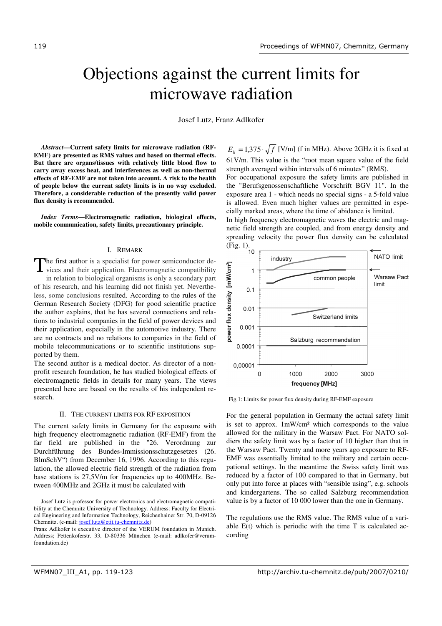# Objections against the current limits for microwave radiation

Josef Lutz, Franz Adlkofer

*Abstract***—Current safety limits for microwave radiation (RF-EMF) are presented as RMS values and based on thermal effects. But there are organs/tissues with relatively little blood flow to carry away excess heat, and interferences as well as non-thermal effects of RF-EMF are not taken into account. A risk to the health of people below the current safety limits is in no way excluded. Therefore, a considerable reduction of the presently valid power flux density is recommended.** 

*Index Terms***—Electromagnetic radiation, biological effects, mobile communication, safety limits, precautionary principle.** 

# I. REMARK

The first author is a specialist for power semiconductor de-The first author is a specialist for power semiconductor devices and their application. Electromagnetic compatibility in relation to biological organisms is only a secondary part of his research, and his learning did not finish yet. Nevertheless, some conclusions resulted. According to the rules of the German Research Society (DFG) for good scientific practice the author explains, that he has several connections and relations to industrial companies in the field of power devices and their application, especially in the automotive industry. There are no contracts and no relations to companies in the field of mobile telecommunications or to scientific institutions supported by them.

The second author is a medical doctor. As director of a nonprofit research foundation, he has studied biological effects of electromagnetic fields in details for many years. The views presented here are based on the results of his independent research.

### II. THE CURRENT LIMITS FOR RF EXPOSITION

The current safety limits in Germany for the exposure with high frequency electromagnetic radiation (RF-EMF) from the far field are published in the "26. Verordnung zur Durchführung des Bundes-Immissionsschutzgesetzes (26. BlmSchV") from December 16, 1996. According to this regulation, the allowed electric field strength of the radiation from base stations is 27,5V/m for frequencies up to 400MHz. Between 400MHz and 2GHz it must be calculated with

 $E_{li} = 1.375 \cdot \sqrt{f}$  [V/m] (f in MHz). Above 2GHz it is fixed at 61V/m. This value is the "root mean square value of the field strength averaged within intervals of 6 minutes" (RMS). For occupational exposure the safety limits are published in the "Berufsgenossenschaftliche Vorschrift BGV 11". In the exposure area 1 - which needs no special signs - a 5-fold value is allowed. Even much higher values are permitted in especially marked areas, where the time of abidance is limited.

In high frequency electromagnetic waves the electric and magnetic field strength are coupled, and from energy density and spreading velocity the power flux density can be calculated  $(Fig. 1).$ <br>10



Fig.1: Limits for power flux density during RF-EMF exposure

For the general population in Germany the actual safety limit is set to approx. 1mW/cm² which corresponds to the value allowed for the military in the Warsaw Pact. For NATO soldiers the safety limit was by a factor of 10 higher than that in the Warsaw Pact. Twenty and more years ago exposure to RF-EMF was essentially limited to the military and certain occupational settings. In the meantime the Swiss safety limit was reduced by a factor of 100 compared to that in Germany, but only put into force at places with "sensible using", e.g. schools and kindergartens. The so called Salzburg recommendation value is by a factor of 10 000 lower than the one in Germany.

The regulations use the RMS value. The RMS value of a variable E(t) which is periodic with the time T is calculated according

Josef Lutz is professor for power electronics and electromagnetic compatibility at the Chemnitz University of Technology. Address: Faculty for Electrical Engineering and Information Technology, Reichenhainer Str. 70, D-09126 Chemnitz. (e-mail: josef.lutz@etit.tu-chemnitz.de)

Franz Adlkofer is executive director of the VERUM foundation in Munich. Address; Pettenkoferstr. 33, D-80336 München (e-mail: adlkofer@verumfoundation.de)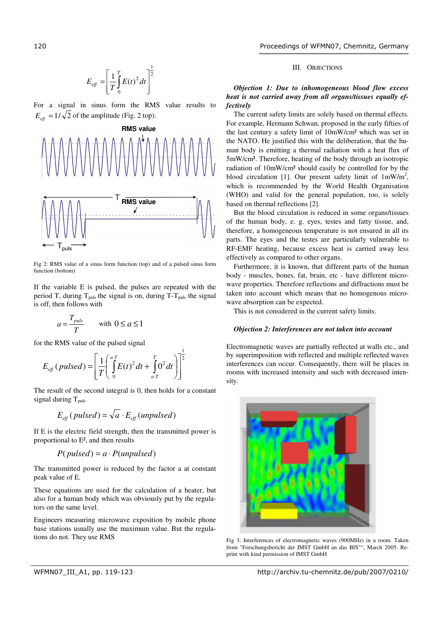#### 2 1 0  $\frac{1}{\pi} \int E(t)^2$  $\overline{\phantom{a}}$  $\overline{\phantom{a}}$ J 1  $\mathbf{r}$ L L Γ  $=\left(\frac{1}{T}\right)^T$  $E_{\text{eff}} = \frac{1}{T} \int_{0}^{T} E(t)^2 dt$  $E_{\text{eff}} = \frac{1}{\pi} \int E(t)^2 dt$

For a signal in sinus form the RMS value results to  $E_{\text{eff}} = 1/\sqrt{2}$  of the amplitude (Fig. 2 top).



Fig 2: RMS value of a sinus form function (top) and of a pulsed sinus form function (bottom)

If the variable E is pulsed, the pulses are repeated with the period T, during  $T_{puls}$  the signal is on, during T- $T_{puls}$  the signal is off, then follows with

$$
a = \frac{T_{puls}}{T} \qquad \text{with } 0 \le a \le 1
$$

for the RMS value of the pulsed signal

$$
E_{\text{eff}}(\text{pulsed}) = \left[\frac{1}{T}\left(\int_{0}^{a} E(t)^2 dt + \int_{a}^{T} 0^2 dt\right)\right]^2
$$

The result of the second integral is 0, then holds for a constant signal during  $T_{\text{puls}}$ 

1

$$
E_{\text{eff}}(\text{pulsed}) = \sqrt{a} \cdot E_{\text{eff}}(\text{unpulsed})
$$

If E is the electric field strength, then the transmitted power is proportional to E², and then results

$$
P(pulsed) = a \cdot P(unpulsed)
$$

The transmitted power is reduced by the factor a at constant peak value of E.

These equations are used for the calculation of a heater, but also for a human body which was obviously put by the regulators on the same level.

Engineers measuring microwave exposition by mobile phone base stations usually use the maximum value. But the regulations do not. They use RMS

# III. OBJECTIONS

# *Objection 1: Due to inhomogeneous blood flow excess heat is not carried away from all organs/tissues equally effectively*

The current safety limits are solely based on thermal effects. For example, Hermann Schwan, proposed in the early fifties of the last century a safety limit of 10mW/cm² which was set in the NATO. He justified this with the deliberation, that the human body is emitting a thermal radiation with a heat flux of 5mW/cm². Therefore, heating of the body through an isotropic radiation of 10mW/cm² should easily be controlled for by the blood circulation [1]. Our present safety limit of  $1mW/m^2$ , which is recommended by the World Health Organisation (WHO) and valid for the general population, too, is solely based on thermal reflections [2].

But the blood circulation is reduced in some organs/tissues of the human body, e. g. eyes, testes and fatty tissue, and, therefore, a homogeneous temperature is not ensured in all its parts. The eyes and the testes are particularly vulnerable to RF-EMF heating, because excess heat is carried away less effectively as compared to other organs.

Furthermore, it is known, that different parts of the human body - muscles, bones, fat, brain, etc - have different microwave properties. Therefore reflections and diffractions must be taken into account which means that no homogenous microwave absorption can be expected.

This is not considered in the current safety limits.

# *Objection 2: Interferences are not taken into account*

Electromagnetic waves are partially reflected at walls etc., and by superimposition with reflected and multiple reflected waves interferences can occur. Consequently, there will be places in rooms with increased intensity and such with decreased intensity.



Fig 3: Interferences of electromagnetic waves (900MHz) in a room. Taken from "Forschungsbericht der IMST GmbH an das BfS"", March 2005. Reprint with kind permission of IMST GmbH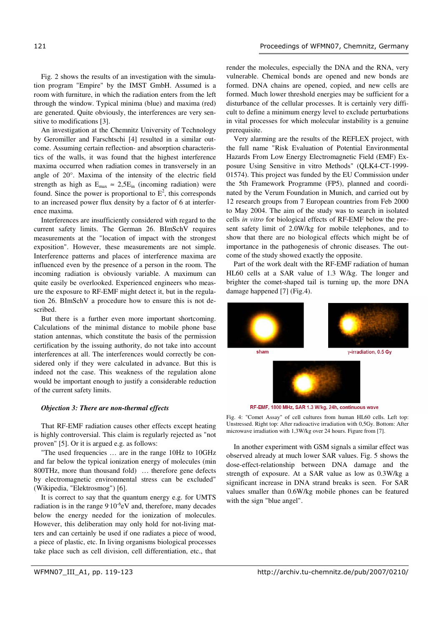Fig. 2 shows the results of an investigation with the simulation program "Empire" by the IMST GmbH. Assumed is a room with furniture, in which the radiation enters from the left through the window. Typical minima (blue) and maxima (red) are generated. Quite obviously, the interferences are very sensitive to modifications [3].

An investigation at the Chemnitz University of Technology by Geromiller and Farschtschi [4] resulted in a similar outcome. Assuming certain reflection- and absorption characteristics of the walls, it was found that the highest interference maxima occurred when radiation comes in transversely in an angle of 20°. Maxima of the intensity of the electric field strength as high as  $E_{\text{max}} \approx 2.5E_{\text{in}}$  (incoming radiation) were found. Since the power is proportional to  $E^2$ , this corresponds to an increased power flux density by a factor of 6 at interference maxima.

Interferences are insufficiently considered with regard to the current safety limits. The German 26. BImSchV requires measurements at the "location of impact with the strongest exposition". However, these measurements are not simple. Interference patterns and places of interference maxima are influenced even by the presence of a person in the room. The incoming radiation is obviously variable. A maximum can quite easily be overlooked. Experienced engineers who measure the exposure to RF-EMF might detect it, but in the regulation 26. BImSchV a procedure how to ensure this is not described.

But there is a further even more important shortcoming. Calculations of the minimal distance to mobile phone base station antennas, which constitute the basis of the permission certification by the issuing authority, do not take into account interferences at all. The interferences would correctly be considered only if they were calculated in advance. But this is indeed not the case. This weakness of the regulation alone would be important enough to justify a considerable reduction of the current safety limits.

### *Objection 3: There are non-thermal effects*

That RF-EMF radiation causes other effects except heating is highly controversial. This claim is regularly rejected as "not proven" [5]. Or it is argued e.g. as follows:

"The used frequencies … are in the range 10Hz to 10GHz and far below the typical ionization energy of molecules (min 800THz, more than thousand fold) … therefore gene defects by electromagnetic environmental stress can be excluded" (Wikipedia, "Elektrosmog") [6].

It is correct to say that the quantum energy e.g. for UMTS radiation is in the range  $9'10^{-6}$ eV and, therefore, many decades below the energy needed for the ionization of molecules. However, this deliberation may only hold for not-living matters and can certainly be used if one radiates a piece of wood, a piece of plastic, etc. In living organisms biological processes take place such as cell division, cell differentiation, etc., that

render the molecules, especially the DNA and the RNA, very vulnerable. Chemical bonds are opened and new bonds are formed. DNA chains are opened, copied, and new cells are formed. Much lower threshold energies may be sufficient for a disturbance of the cellular processes. It is certainly very difficult to define a minimum energy level to exclude perturbations in vital processes for which molecular instability is a genuine prerequisite.

Very alarming are the results of the REFLEX project, with the full name "Risk Evaluation of Potential Environmental Hazards From Low Energy Electromagnetic Field (EMF) Exposure Using Sensitive in vitro Methods" (QLK4-CT-1999- 01574). This project was funded by the EU Commission under the 5th Framework Programme (FP5), planned and coordinated by the Verum Foundation in Munich, and carried out by 12 research groups from 7 European countries from Feb 2000 to May 2004. The aim of the study was to search in isolated cells *in vitro* for biological effects of RF-EMF below the present safety limit of 2.0W/kg for mobile telephones, and to show that there are no biological effects which might be of importance in the pathogenesis of chronic diseases. The outcome of the study showed exactly the opposite.

Part of the work dealt with the RF-EMF radiation of human HL60 cells at a SAR value of 1.3 W/kg. The longer and brighter the comet-shaped tail is turning up, the more DNA damage happened [7] (Fig.4).



RF-EMF, 1800 MHz, SAR 1.3 W/kg, 24h, continuous wave

Fig. 4: "Comet Assay" of cell cultures from human HL60 cells. Left top: Unstressed. Right top: After radioactive irradiation with 0,5Gy. Bottom: After microwave irradiation with 1,3W/kg over 24 hours. Figure from [7].

In another experiment with GSM signals a similar effect was observed already at much lower SAR values. Fig. 5 shows the dose-effect-relationship between DNA damage and the strength of exposure. At a SAR value as low as 0.3W/kg a significant increase in DNA strand breaks is seen. For SAR values smaller than 0.6W/kg mobile phones can be featured with the sign "blue angel".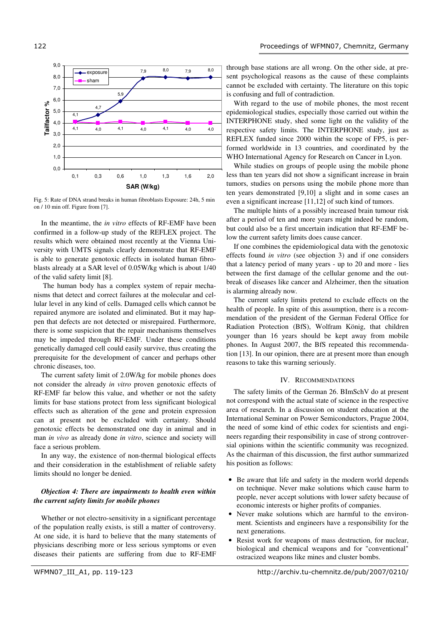

Fig. 5: Rate of DNA strand breaks in human fibroblasts Exposure: 24h, 5 min on / 10 min off. Figure from [7].

In the meantime, the *in vitro* effects of RF-EMF have been confirmed in a follow-up study of the REFLEX project. The results which were obtained most recently at the Vienna University with UMTS signals clearly demonstrate that RF-EMF is able to generate genotoxic effects in isolated human fibroblasts already at a SAR level of 0.05W/kg which is about 1/40 of the valid safety limit [8].

 The human body has a complex system of repair mechanisms that detect and correct failures at the molecular and cellular level in any kind of cells. Damaged cells which cannot be repaired anymore are isolated and eliminated. But it may happen that defects are not detected or misrepaired. Furthermore, there is some suspicion that the repair mechanisms themselves may be impeded through RF-EMF. Under these conditions genetically damaged cell could easily survive, thus creating the prerequisite for the development of cancer and perhaps other chronic diseases, too.

The current safety limit of 2.0W/kg for mobile phones does not consider the already *in vitro* proven genotoxic effects of RF-EMF far below this value, and whether or not the safety limits for base stations protect from less significant biological effects such as alteration of the gene and protein expression can at present not be excluded with certainty. Should genotoxic effects be demonstrated one day in animal and in man *in vivo* as already done *in vitro*, science and society will face a serious problem.

In any way, the existence of non-thermal biological effects and their consideration in the establishment of reliable safety limits should no longer be denied.

# *Objection 4: There are impairments to health even within the current safety limits for mobile phones*

Whether or not electro-sensitivity in a significant percentage of the population really exists, is still a matter of controversy. At one side, it is hard to believe that the many statements of physicians describing more or less serious symptoms or even diseases their patients are suffering from due to RF-EMF

With regard to the use of mobile phones, the most recent epidemiological studies, especially those carried out within the INTERPHONE study, shed some light on the validity of the respective safety limits. The INTERPHONE study, just as REFLEX funded since 2000 within the scope of FP5, is performed worldwide in 13 countries, and coordinated by the WHO International Agency for Research on Cancer in Lyon.

While studies on groups of people using the mobile phone less than ten years did not show a significant increase in brain tumors, studies on persons using the mobile phone more than ten years demonstrated [9,10] a slight and in some cases an even a significant increase [11,12] of such kind of tumors.

The multiple hints of a possibly increased brain tumour risk after a period of ten and more years might indeed be random, but could also be a first uncertain indication that RF-EMF below the current safety limits does cause cancer.

If one combines the epidemiological data with the genotoxic effects found *in vitro* (see objection 3) and if one considers that a latency period of many years - up to 20 and more - lies between the first damage of the cellular genome and the outbreak of diseases like cancer and Alzheimer, then the situation is alarming already now.

The current safety limits pretend to exclude effects on the health of people. In spite of this assumption, there is a recommendation of the president of the German Federal Office for Radiation Protection (BfS), Wolfram König, that children younger than 16 years should be kept away from mobile phones. In August 2007, the BfS repeated this recommendation [13]. In our opinion, there are at present more than enough reasons to take this warning seriously.

## IV. RECOMMENDATIONS

The safety limits of the German 26. BImSchV do at present not correspond with the actual state of science in the respective area of research. In a discussion on student education at the International Seminar on Power Semiconductors, Prague 2004, the need of some kind of ethic codex for scientists and engineers regarding their responsibility in case of strong controversial opinions within the scientific community was recognized. As the chairman of this discussion, the first author summarized his position as follows:

- Be aware that life and safety in the modern world depends on technique. Never make solutions which cause harm to people, never accept solutions with lower safety because of economic interests or higher profits of companies.
- Never make solutions which are harmful to the environment. Scientists and engineers have a responsibility for the next generations.
- Resist work for weapons of mass destruction, for nuclear, biological and chemical weapons and for "conventional" ostracized weapons like mines and cluster bombs.